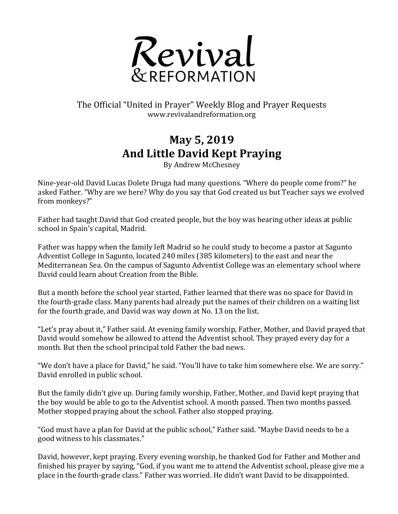

## The Official "United in Prayer" Weekly Blog and Prayer Requests www.revivalandreformation.org

## **May 5, 2019 And Little David Kept Praying**

By Andrew McChesney

Nine-year-old David Lucas Dolete Druga had many questions. "Where do people come from?" he asked Father. "Why are we here? Why do you say that God created us but Teacher says we evolved from monkeys?"

Father had taught David that God created people, but the boy was hearing other ideas at public school in Spain's capital, Madrid.

Father was happy when the family left Madrid so he could study to become a pastor at Sagunto Adventist College in Sagunto, located 240 miles (385 kilometers) to the east and near the Mediterranean Sea. On the campus of Sagunto Adventist College was an elementary school where David could learn about Creation from the Bible.

But a month before the school year started, Father learned that there was no space for David in the fourth-grade class. Many parents had already put the names of their children on a waiting list for the fourth grade, and David was way down at No. 13 on the list.

"Let's pray about it," Father said. At evening family worship, Father, Mother, and David prayed that David would somehow be allowed to attend the Adventist school. They prayed every day for a month. But then the school principal told Father the bad news.

"We don't have a place for David," he said. "You'll have to take him somewhere else. We are sorry." David enrolled in public school.

But the family didn't give up. During family worship, Father, Mother, and David kept praying that the boy would be able to go to the Adventist school. A month passed. Then two months passed. Mother stopped praying about the school. Father also stopped praying.

"God must have a plan for David at the public school," Father said. "Maybe David needs to be a good witness to his classmates."

David, however, kept praying. Every evening worship, he thanked God for Father and Mother and finished his prayer by saying, "God, if you want me to attend the Adventist school, please give me a place in the fourth-grade class." Father was worried. He didn't want David to be disappointed.